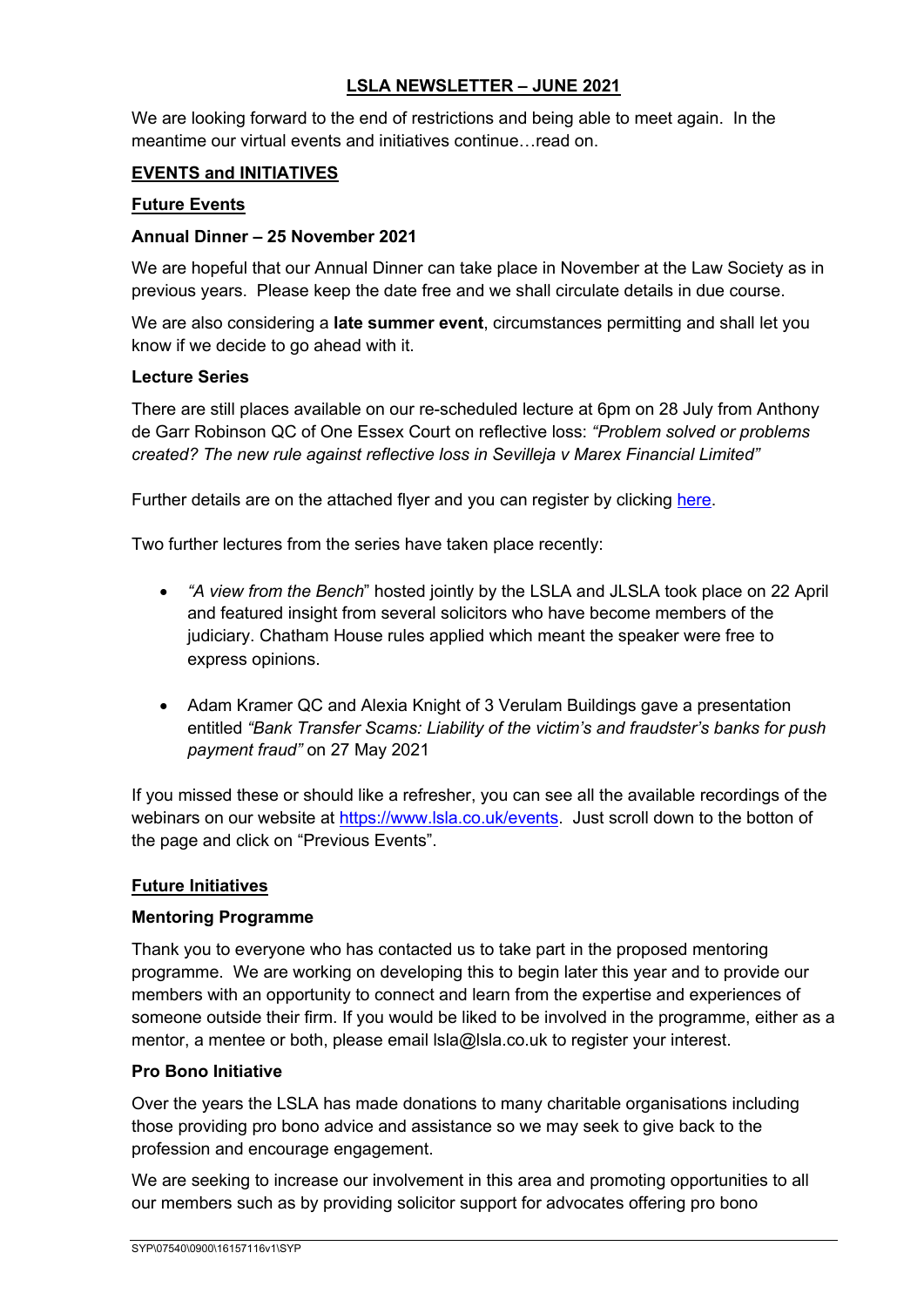# **LSLA NEWSLETTER – JUNE 2021**

We are looking forward to the end of restrictions and being able to meet again. In the meantime our virtual events and initiatives continue…read on.

### **EVENTS and INITIATIVES**

#### **Future Events**

#### **Annual Dinner – 25 November 2021**

We are hopeful that our Annual Dinner can take place in November at the Law Society as in previous years. Please keep the date free and we shall circulate details in due course.

We are also considering a **late summer event**, circumstances permitting and shall let you know if we decide to go ahead with it.

#### **Lecture Series**

There are still places available on our re-scheduled lecture at 6pm on 28 July from Anthony de Garr Robinson QC of One Essex Court on reflective loss: *"Problem solved or problems created? The new rule against reflective loss in Sevilleja v Marex Financial Limited"*

Further details are on the attached flyer and you can register by clicking here.

Two further lectures from the series have taken place recently:

- *"A view from the Bench*" hosted jointly by the LSLA and JLSLA took place on 22 April and featured insight from several solicitors who have become members of the judiciary. Chatham House rules applied which meant the speaker were free to express opinions.
- Adam Kramer QC and Alexia Knight of 3 Verulam Buildings gave a presentation entitled *"Bank Transfer Scams: Liability of the victim's and fraudster's banks for push payment fraud"* on 27 May 2021

If you missed these or should like a refresher, you can see all the available recordings of the webinars on our website at https://www.lsla.co.uk/events. Just scroll down to the botton of the page and click on "Previous Events".

#### **Future Initiatives**

#### **Mentoring Programme**

Thank you to everyone who has contacted us to take part in the proposed mentoring programme. We are working on developing this to begin later this year and to provide our members with an opportunity to connect and learn from the expertise and experiences of someone outside their firm. If you would be liked to be involved in the programme, either as a mentor, a mentee or both, please email Isla@Isla.co.uk to register your interest.

#### **Pro Bono Initiative**

Over the years the LSLA has made donations to many charitable organisations including those providing pro bono advice and assistance so we may seek to give back to the profession and encourage engagement.

We are seeking to increase our involvement in this area and promoting opportunities to all our members such as by providing solicitor support for advocates offering pro bono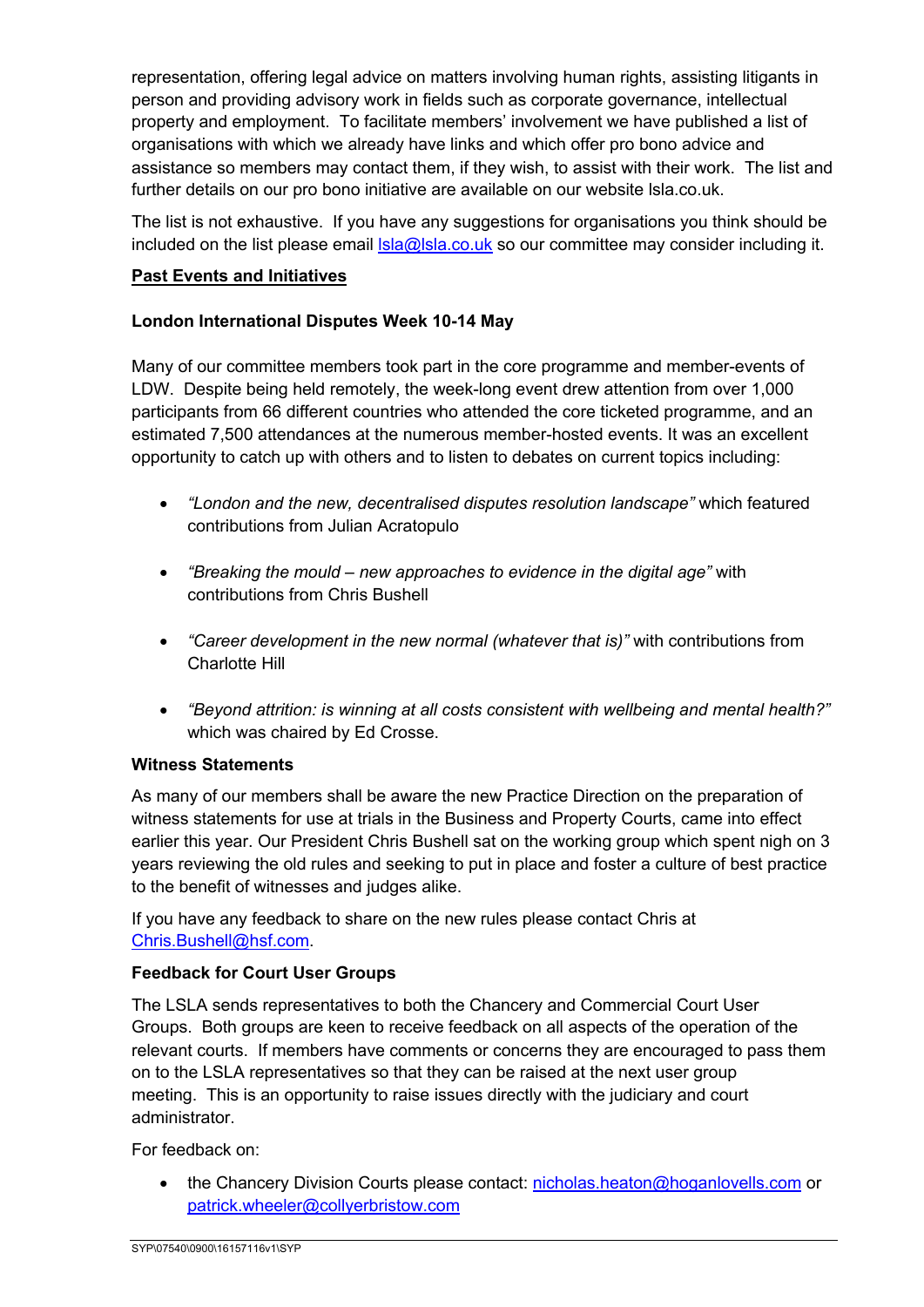representation, offering legal advice on matters involving human rights, assisting litigants in person and providing advisory work in fields such as corporate governance, intellectual property and employment. To facilitate members' involvement we have published a list of organisations with which we already have links and which offer pro bono advice and assistance so members may contact them, if they wish, to assist with their work. The list and further details on our pro bono initiative are available on our website lsla.co.uk.

The list is not exhaustive. If you have any suggestions for organisations you think should be included on the list please email  $\text{lsla@lsla.co.uk}$  so our committee may consider including it.

### **Past Events and Initiatives**

#### **London International Disputes Week 10-14 May**

Many of our committee members took part in the core programme and member-events of LDW. Despite being held remotely, the week-long event drew attention from over 1,000 participants from 66 different countries who attended the core ticketed programme, and an estimated 7,500 attendances at the numerous member-hosted events. It was an excellent opportunity to catch up with others and to listen to debates on current topics including:

- *"London and the new, decentralised disputes resolution landscape"* which featured contributions from Julian Acratopulo
- *"Breaking the mould – new approaches to evidence in the digital age"* with contributions from Chris Bushell
- *"Career development in the new normal (whatever that is)"* with contributions from Charlotte Hill
- *"Beyond attrition: is winning at all costs consistent with wellbeing and mental health?"* which was chaired by Ed Crosse.

#### **Witness Statements**

As many of our members shall be aware the new Practice Direction on the preparation of witness statements for use at trials in the Business and Property Courts, came into effect earlier this year. Our President Chris Bushell sat on the working group which spent nigh on 3 years reviewing the old rules and seeking to put in place and foster a culture of best practice to the benefit of witnesses and judges alike.

If you have any feedback to share on the new rules please contact Chris at Chris.Bushell@hsf.com.

## **Feedback for Court User Groups**

The LSLA sends representatives to both the Chancery and Commercial Court User Groups. Both groups are keen to receive feedback on all aspects of the operation of the relevant courts. If members have comments or concerns they are encouraged to pass them on to the LSLA representatives so that they can be raised at the next user group meeting. This is an opportunity to raise issues directly with the judiciary and court administrator.

For feedback on:

• the Chancery Division Courts please contact: nicholas.heaton@hoganlovells.com or patrick.wheeler@collyerbristow.com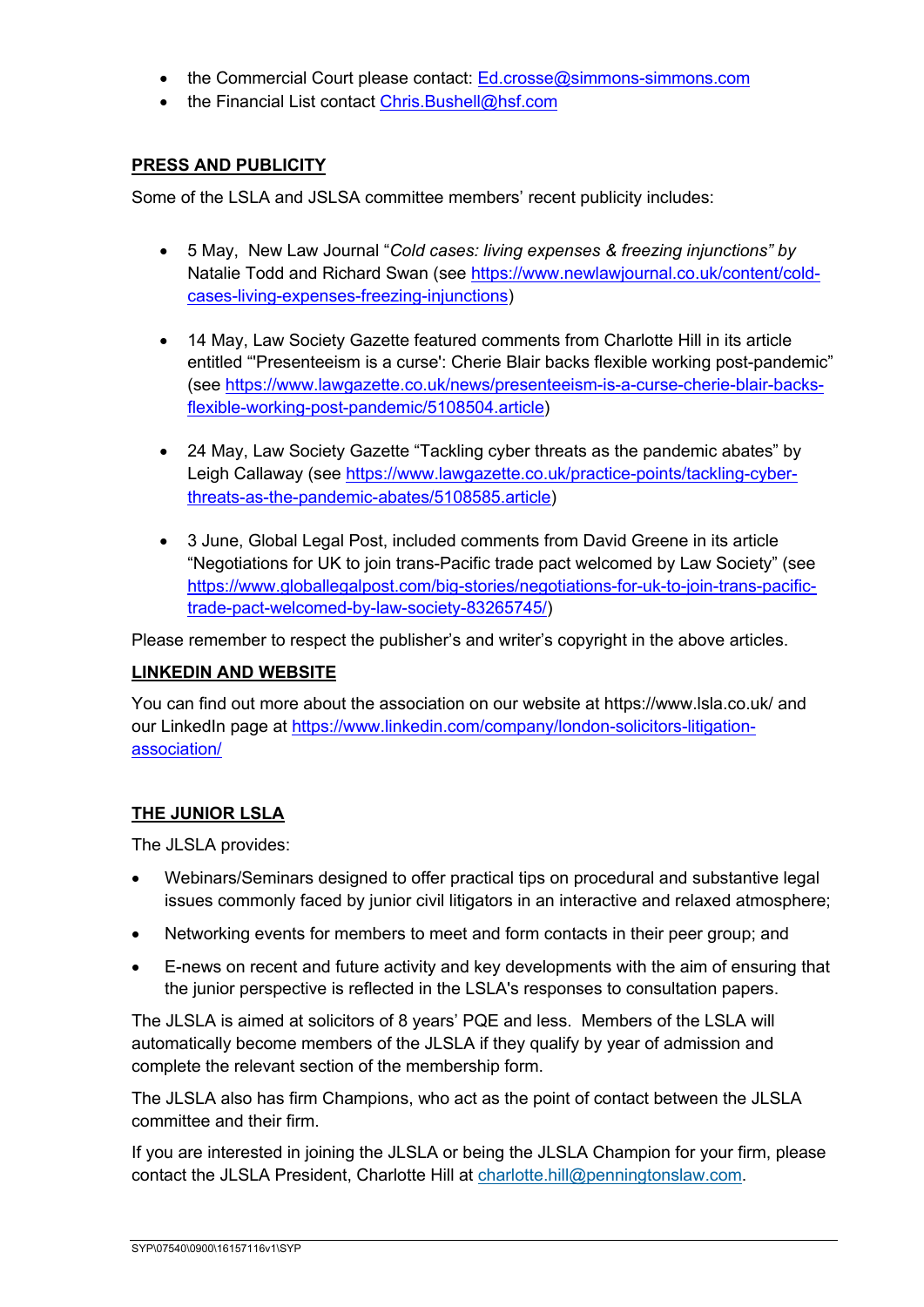- the Commercial Court please contact: Ed.crosse@simmons-simmons.com
- the Financial List contact Chris.Bushell@hsf.com

## **PRESS AND PUBLICITY**

Some of the LSLA and JSLSA committee members' recent publicity includes:

- 5 May, New Law Journal "*Cold cases: living expenses & freezing injunctions" by*  Natalie Todd and Richard Swan (see https://www.newlawjournal.co.uk/content/coldcases-living-expenses-freezing-injunctions)
- 14 May, Law Society Gazette featured comments from Charlotte Hill in its article entitled "'Presenteeism is a curse': Cherie Blair backs flexible working post-pandemic" (see https://www.lawgazette.co.uk/news/presenteeism-is-a-curse-cherie-blair-backsflexible-working-post-pandemic/5108504.article)
- 24 May, Law Society Gazette "Tackling cyber threats as the pandemic abates" by Leigh Callaway (see https://www.lawgazette.co.uk/practice-points/tackling-cyberthreats-as-the-pandemic-abates/5108585.article)
- 3 June, Global Legal Post, included comments from David Greene in its article "Negotiations for UK to join trans-Pacific trade pact welcomed by Law Society" (see https://www.globallegalpost.com/big-stories/negotiations-for-uk-to-join-trans-pacifictrade-pact-welcomed-by-law-society-83265745/)

Please remember to respect the publisher's and writer's copyright in the above articles.

## **LINKEDIN AND WEBSITE**

You can find out more about the association on our website at https://www.lsla.co.uk/ and our LinkedIn page at https://www.linkedin.com/company/london-solicitors-litigationassociation/

## **THE JUNIOR LSLA**

The JLSLA provides:

- Webinars/Seminars designed to offer practical tips on procedural and substantive legal issues commonly faced by junior civil litigators in an interactive and relaxed atmosphere;
- Networking events for members to meet and form contacts in their peer group; and
- E-news on recent and future activity and key developments with the aim of ensuring that the junior perspective is reflected in the LSLA's responses to consultation papers.

The JLSLA is aimed at solicitors of 8 years' PQE and less. Members of the LSLA will automatically become members of the JLSLA if they qualify by year of admission and complete the relevant section of the membership form.

The JLSLA also has firm Champions, who act as the point of contact between the JLSLA committee and their firm.

If you are interested in joining the JLSLA or being the JLSLA Champion for your firm, please contact the JLSLA President, Charlotte Hill at charlotte.hill@penningtonslaw.com.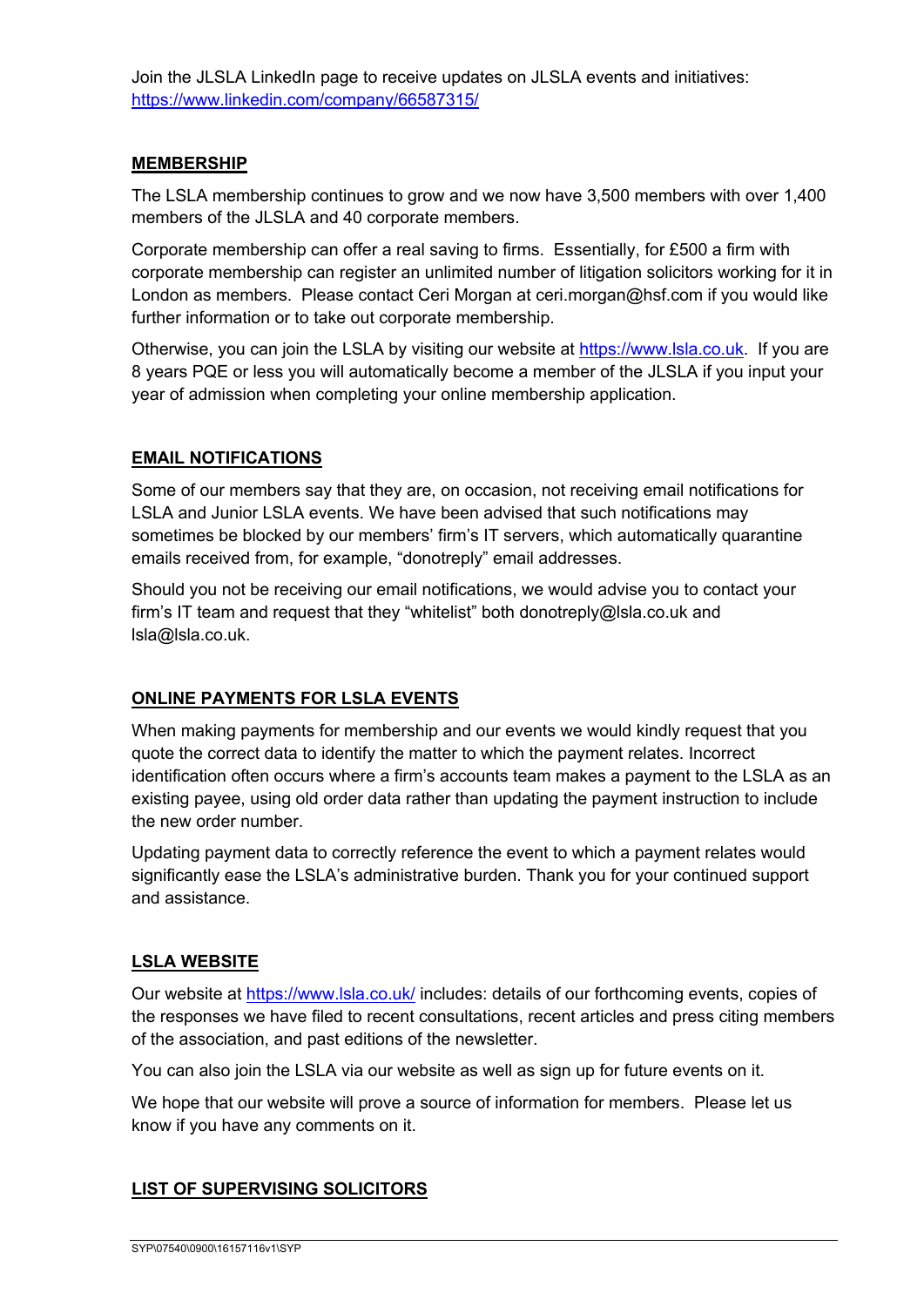Join the JLSLA LinkedIn page to receive updates on JLSLA events and initiatives: https://www.linkedin.com/company/66587315/

### **MEMBERSHIP**

The LSLA membership continues to grow and we now have 3,500 members with over 1,400 members of the JLSLA and 40 corporate members.

Corporate membership can offer a real saving to firms. Essentially, for £500 a firm with corporate membership can register an unlimited number of litigation solicitors working for it in London as members. Please contact Ceri Morgan at ceri.morgan@hsf.com if you would like further information or to take out corporate membership.

Otherwise, you can join the LSLA by visiting our website at https://www.lsla.co.uk. If you are 8 years PQE or less you will automatically become a member of the JLSLA if you input your year of admission when completing your online membership application.

### **EMAIL NOTIFICATIONS**

Some of our members say that they are, on occasion, not receiving email notifications for LSLA and Junior LSLA events. We have been advised that such notifications may sometimes be blocked by our members' firm's IT servers, which automatically quarantine emails received from, for example, "donotreply" email addresses.

Should you not be receiving our email notifications, we would advise you to contact your firm's IT team and request that they "whitelist" both donotreply@lsla.co.uk and lsla@lsla.co.uk.

## **ONLINE PAYMENTS FOR LSLA EVENTS**

When making payments for membership and our events we would kindly request that you quote the correct data to identify the matter to which the payment relates. Incorrect identification often occurs where a firm's accounts team makes a payment to the LSLA as an existing payee, using old order data rather than updating the payment instruction to include the new order number.

Updating payment data to correctly reference the event to which a payment relates would significantly ease the LSLA's administrative burden. Thank you for your continued support and assistance.

## **LSLA WEBSITE**

Our website at https://www.lsla.co.uk/ includes: details of our forthcoming events, copies of the responses we have filed to recent consultations, recent articles and press citing members of the association, and past editions of the newsletter.

You can also join the LSLA via our website as well as sign up for future events on it.

We hope that our website will prove a source of information for members. Please let us know if you have any comments on it.

#### **LIST OF SUPERVISING SOLICITORS**